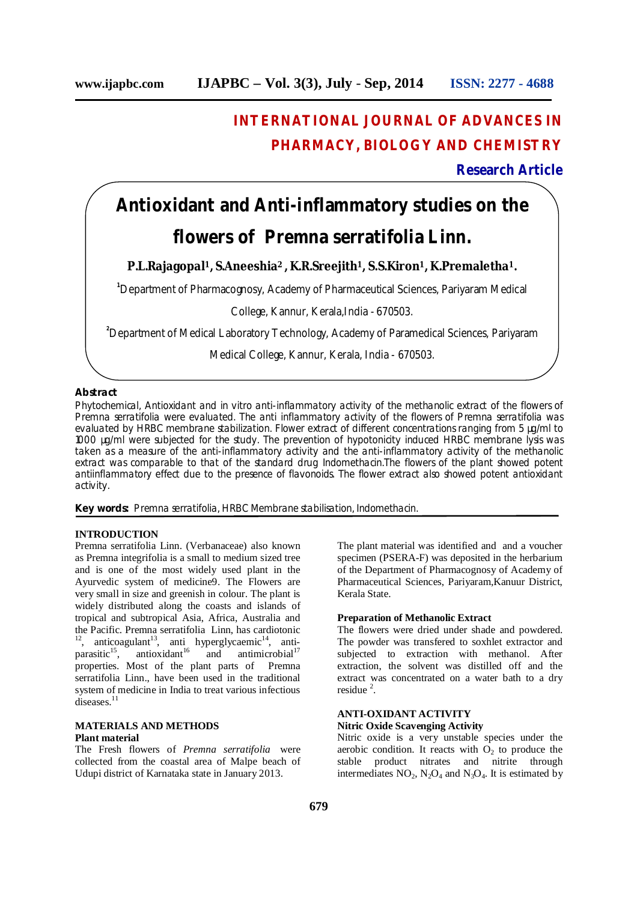# **INTERNATIONAL JOURNAL OF ADVANCES IN PHARMACY, BIOLOGY AND CHEMISTRY**

## **Research Article**

## **Antioxidant and Anti-inflammatory studies on the**

## **flowers of** *Premna serratifolia* **Linn.**

## **P.L.Rajagopal <sup>1</sup>, S.Aneeshia<sup>2</sup> , K.R.Sreejith1, S.S.Kiron1, K.Premaletha1.**

**<sup>1</sup>**Department of Pharmacognosy, Academy of Pharmaceutical Sciences, Pariyaram Medical

College, Kannur, Kerala,India - 670503.

**<sup>2</sup>**Department of Medical Laboratory Technology, Academy of Paramedical Sciences, Pariyaram

Medical College, Kannur, Kerala, India - 670503.

#### **Abstract**

Phytochemical, Antioxidant and in vitro anti-inflammatory activity of the methanolic extract of the flowers of Premna serratifolia were evaluated. The anti inflammatory activity of the flowers of Premna serratifolia was evaluated by HRBC membrane stabilization. Flower extract of different concentrations ranging from 5 µg/ml to 1000 µg/ml were subjected for the study. The prevention of hypotonicity induced HRBC membrane lysis was taken as a measure of the anti-inflammatory activity and the anti-inflammatory activity of the methanolic extract was comparable to that of the standard drug Indomethacin.The flowers of the plant showed potent antiinflammatory effect due to the presence of flavonoids. The flower extract also showed potent antioxidant activity.

**Key words:** Premna serratifolia, HRBC Membrane stabilisation, Indomethacin.

#### **INTRODUCTION**

Premna serratifolia Linn. (Verbanaceae) also known as Premna integrifolia is a small to medium sized tree and is one of the most widely used plant in the Ayurvedic system of medicine9. The Flowers are very small in size and greenish in colour. The plant is widely distributed along the coasts and islands of tropical and subtropical Asia, Africa, Australia and the Pacific. Premna serratifolia Linn, has cardiotonic  $12$ , anticoagulant<sup>13</sup>, anti hyperglycaemic<sup>14</sup>, antiparasitic<sup>15</sup>, antioxidant<sup>16</sup> and antimicrobial<sup>17</sup> properties. Most of the plant parts of Premna serratifolia Linn., have been used in the traditional system of medicine in India to treat various infectious diseases.<sup>11</sup>

#### **MATERIALS AND METHODS Plant material**

The Fresh flowers of *Premna serratifolia* were collected from the coastal area of Malpe beach of Udupi district of Karnataka state in January 2013.

The plant material was identified and and a voucher specimen (PSERA-F) was deposited in the herbarium of the Department of Pharmacognosy of Academy of Pharmaceutical Sciences, Pariyaram,Kanuur District, Kerala State.

#### **Preparation of Methanolic Extract**

The flowers were dried under shade and powdered. The powder was transfered to soxhlet extractor and subjected to extraction with methanol. After extraction, the solvent was distilled off and the extract was concentrated on a water bath to a dry residue 2 .

### **ANTI-OXIDANT ACTIVITY**

#### **Nitric Oxide Scavenging Activity**

Nitric oxide is a very unstable species under the aerobic condition. It reacts with  $O<sub>2</sub>$  to produce the stable product nitrates and nitrite through intermediates  $NO_2$ ,  $N_2O_4$  and  $N_3O_4$ . It is estimated by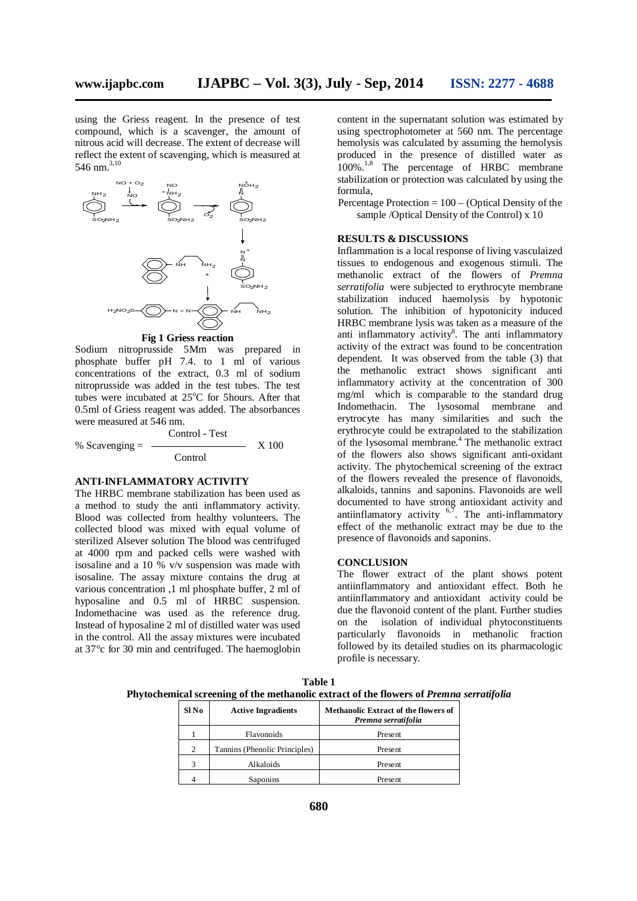using the Griess reagent. In the presence of test compound, which is a scavenger, the amount of nitrous acid will decrease. The extent of decrease will reflect the extent of scavenging, which is measured at 546 nm. 3,10



**Fig 1 Griess reaction**

Sodium nitroprusside 5Mm was prepared in phosphate buffer pH 7.4. to 1 ml of various concentrations of the extract, 0.3 ml of sodium nitroprusside was added in the test tubes. The test tubes were incubated at 25°C for 5hours. After that 0.5ml of Griess reagent was added. The absorbances were measured at 546 nm.

Control - Test % Scavenging = X 100 **Control** 

#### **ANTI-INFLAMMATORY ACTIVITY**

The HRBC membrane stabilization has been used as a method to study the anti inflammatory activity. Blood was collected from healthy volunteers. The collected blood was mixed with equal volume of sterilized Alsever solution The blood was centrifuged at 4000 rpm and packed cells were washed with isosaline and a 10 % v/v suspension was made with isosaline. The assay mixture contains the drug at various concentration ,1 ml phosphate buffer, 2 ml of hyposaline and 0.5 ml of HRBC suspension. Indomethacine was used as the reference drug. Instead of hyposaline 2 ml of distilled water was used in the control. All the assay mixtures were incubated at 37°c for 30 min and centrifuged. The haemoglobin

content in the supernatant solution was estimated by using spectrophotometer at 560 nm. The percentage hemolysis was calculated by assuming the hemolysis produced in the presence of distilled water as 100%.<sup>1,8</sup> The percentage of HRBC membrane stabilization or protection was calculated by using the formula,

Percentage Protection = 100 – (Optical Density of the sample /Optical Density of the Control) x 10

#### **RESULTS & DISCUSSIONS**

Inflammation is a local response of living vasculaized tissues to endogenous and exogenous stimuli. The methanolic extract of the flowers of *Premna serratifolia* were subjected to erythrocyte membrane stabilization induced haemolysis by hypotonic solution. The inhibition of hypotonicity induced HRBC membrane lysis was taken as a measure of the anti inflammatory activity<sup>8</sup>. The anti inflammatory activity of the extract was found to be concentration dependent. It was observed from the table (3) that the methanolic extract shows significant anti inflammatory activity at the concentration of 300 mg/ml which is comparable to the standard drug Indomethacin. The lysosomal membrane and erytrocyte has many similarities and such the erythrocyte could be extrapolated to the stabilization of the lysosomal membrane. 4 The methanolic extract of the flowers also shows significant anti-oxidant activity. The phytochemical screening of the extract of the flowers revealed the presence of flavonoids, alkaloids, tannins and saponins. Flavonoids are well documented to have strong antioxidant activity and antiinflamatory activity  $6,7$ . The anti-inflammatory effect of the methanolic extract may be due to the presence of flavonoids and saponins.

#### **CONCLUSION**

The flower extract of the plant shows potent antiinflammatory and antioxidant effect. Both he antiinflammatory and antioxidant activity could be due the flavonoid content of the plant. Further studies on the isolation of individual phytoconstituents particularly flavonoids in methanolic fraction followed by its detailed studies on its pharmacologic profile is necessary.

**Table 1 Phytochemical screening of the methanolic extract of the flowers of** *Premna serratifolia*

| Sl No          | <b>Active Ingradients</b>     | <b>Methanolic Extract of the flowers of</b><br>Premna serratifolia |
|----------------|-------------------------------|--------------------------------------------------------------------|
|                | Flavonoids                    | Present                                                            |
| $\overline{c}$ | Tannins (Phenolic Principles) | Present                                                            |
| 3              | Alkaloids                     | Present                                                            |
|                | Saponins                      | Present                                                            |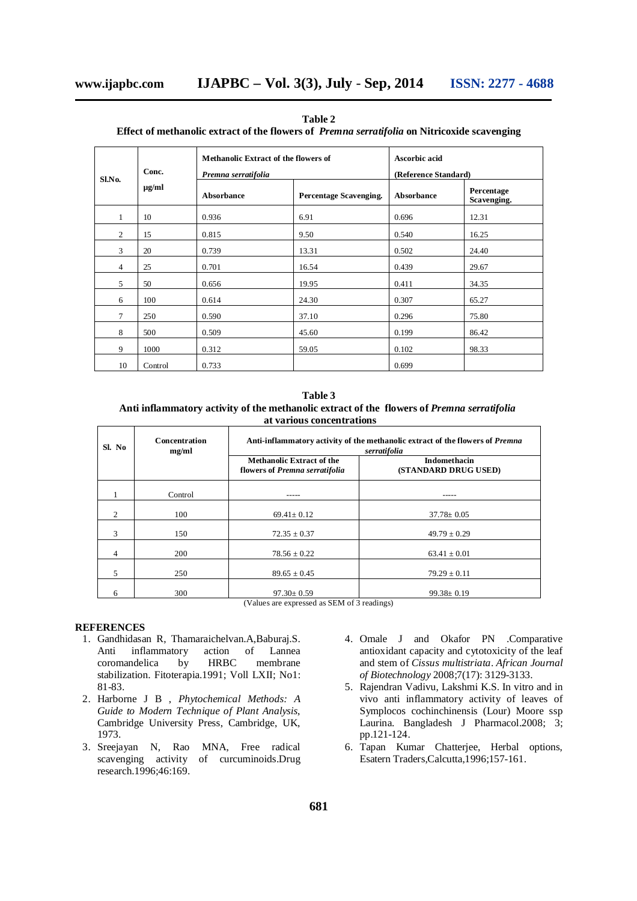| Sl.No.         | Conc.<br>µg/ml | <b>Methanolic Extract of the flowers of</b><br>Premna serratifolia |                               | Ascorbic acid<br>(Reference Standard) |                           |
|----------------|----------------|--------------------------------------------------------------------|-------------------------------|---------------------------------------|---------------------------|
|                |                | Absorbance                                                         | <b>Percentage Scavenging.</b> | <b>Absorbance</b>                     | Percentage<br>Scavenging. |
| 1              | 10             | 0.936                                                              | 6.91                          | 0.696                                 | 12.31                     |
| $\overline{2}$ | 15             | 0.815                                                              | 9.50                          | 0.540                                 | 16.25                     |
| 3              | 20             | 0.739                                                              | 13.31                         | 0.502                                 | 24.40                     |
| 4              | 25             | 0.701                                                              | 16.54                         | 0.439                                 | 29.67                     |
| 5              | 50             | 0.656                                                              | 19.95                         | 0.411                                 | 34.35                     |
| 6              | 100            | 0.614                                                              | 24.30                         | 0.307                                 | 65.27                     |
| $\tau$         | 250            | 0.590                                                              | 37.10                         | 0.296                                 | 75.80                     |
| 8              | 500            | 0.509                                                              | 45.60                         | 0.199                                 | 86.42                     |
| 9              | 1000           | 0.312                                                              | 59.05                         | 0.102                                 | 98.33                     |
| 10             | Control        | 0.733                                                              |                               | 0.699                                 |                           |

**Table 2 Effect of methanolic extract of the flowers of** *Premna serratifolia* **on Nitricoxide scavenging**

**Table 3 Anti inflammatory activity of the methanolic extract of the flowers of** *Premna serratifolia* **at various concentrations**

| Sl. No | Concentration<br>mg/ml | Anti-inflammatory activity of the methanolic extract of the flowers of <i>Premna</i><br>serratifolia |                                             |  |
|--------|------------------------|------------------------------------------------------------------------------------------------------|---------------------------------------------|--|
|        |                        | <b>Methanolic Extract of the</b><br>flowers of Premna serratifolia                                   | <b>Indomethacin</b><br>(STANDARD DRUG USED) |  |
|        | Control                |                                                                                                      |                                             |  |
| 2      | 100                    | $69.41 \pm 0.12$                                                                                     | $37.78 \pm 0.05$                            |  |
| 3      | 150                    | $72.35 \pm 0.37$                                                                                     | $49.79 \pm 0.29$                            |  |
| 4      | 200                    | $78.56 \pm 0.22$                                                                                     | $63.41 \pm 0.01$                            |  |
| 5      | 250                    | $89.65 \pm 0.45$                                                                                     | $79.29 \pm 0.11$                            |  |
| 6      | 300                    | $97.30 \pm 0.59$<br>$\alpha$<br>$(TT - T)$                                                           | $99.38 \pm 0.19$<br>$\cdots$                |  |

(Values are expressed as SEM of 3 readings)

### **REFERENCES**

- 1. Gandhidasan R, Thamaraichelvan.A,Baburaj.S.<br>Anti inflammatory action of Lannea Anti inflammatory action of coromandelica by HRBC membrane stabilization. Fitoterapia.1991; Voll LXII; No1: 81-83.
- 2. Harborne J B , *Phytochemical Methods: A Guide to Modern Technique of Plant Analysis*, Cambridge University Press, Cambridge, UK, 1973.
- 3. Sreejayan N, Rao MNA, Free radical scavenging activity of curcuminoids.Drug research.1996;46:169.
- 4. Omale J and Okafor PN .Comparative antioxidant capacity and cytotoxicity of the leaf and stem of *Cissus multistriata*. *African Journal of Biotechnology* 2008;7(17): 3129-3133.
- 5. Rajendran Vadivu, Lakshmi K.S. In vitro and in vivo anti inflammatory activity of leaves of Symplocos cochinchinensis (Lour) Moore ssp Laurina. Bangladesh J Pharmacol.2008; 3; pp.121-124.
- 6. Tapan Kumar Chatterjee, Herbal options, Esatern Traders,Calcutta,1996;157-161.